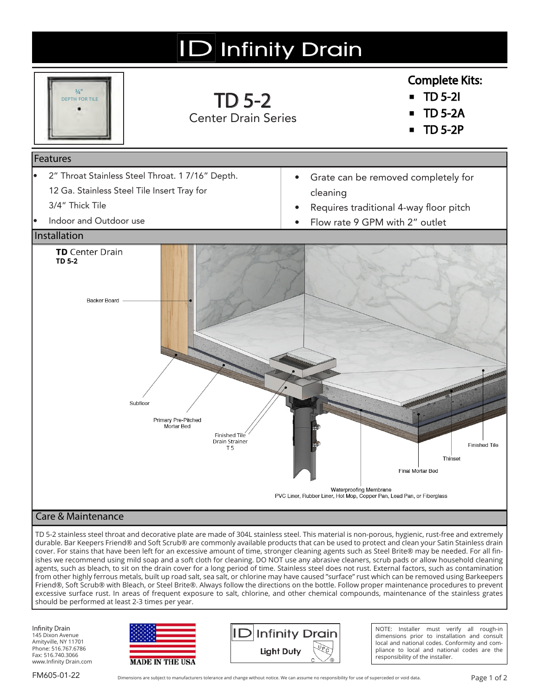

durable. Bar Keepers Friend® and Soft Scrub® are commonly available products that can be used to protect and clean your Satin Stainless drain cover. For stains that have been left for an excessive amount of time, stronger cleaning agents such as Steel Brite® may be needed. For all finishes we recommend using mild soap and a soft cloth for cleaning. DO NOT use any abrasive cleaners, scrub pads or allow household cleaning agents, such as bleach, to sit on the drain cover for a long period of time. Stainless steel does not rust. External factors, such as contamination from other highly ferrous metals, built up road salt, sea salt, or chlorine may have caused "surface" rust which can be removed using Barkeepers Friend®, Soft Scrub® with Bleach, or Steel Brite®. Always follow the directions on the bottle. Follow proper maintenance procedures to prevent excessive surface rust. In areas of frequent exposure to salt, chlorine, and other chemical compounds, maintenance of the stainless grates should be performed at least 2-3 times per year.

Infinity Drain 145 Dixon Avenue Amityville, NY 11701 Phone: 516.767.6786 Fax: 516.740.3066 www.Infinity Drain.com





NOTE: Installer must verify all rough-in dimensions prior to installation and consult local and national codes. Conformity and compliance to local and national codes are the responsibility of the installer.